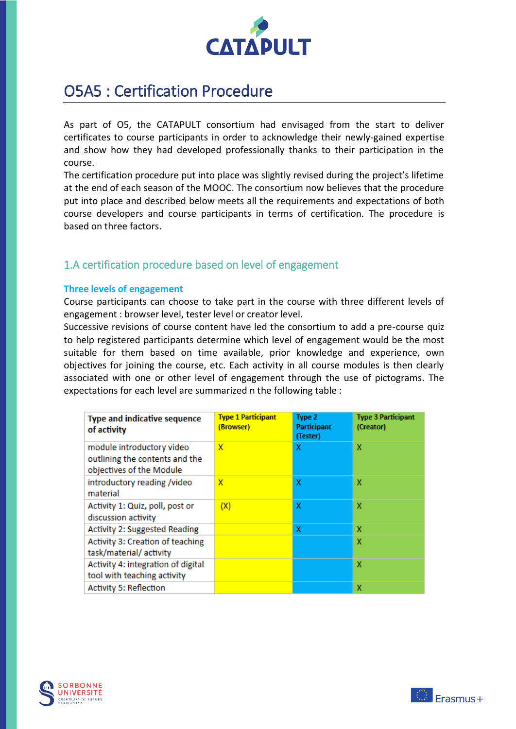

# O5A5 : Certification Procedure

As part of O5, the CATAPULT consortium had envisaged from the start to deliver certificates to course participants in order to acknowledge their newly-gained expertise and show how they had developed professionally thanks to their participation in the course.

The certification procedure put into place was slightly revised during the project's lifetime at the end of each season of the MOOC. The consortium now believes that the procedure put into place and described below meets all the requirements and expectations of both course developers and course participants in terms of certification. The procedure is based on three factors.

## 1.A certification procedure based on level of engagement

## **Three levels of engagement**

Course participants can choose to take part in the course with three different levels of engagement : browser level, tester level or creator level.

Successive revisions of course content have led the consortium to add a pre-course quiz to help registered participants determine which level of engagement would be the most suitable for them based on time available, prior knowledge and experience, own objectives for joining the course, etc. Each activity in all course modules is then clearly associated with one or other level of engagement through the use of pictograms. The expectations for each level are summarized n the following table :

| <b>Type and indicative sequence</b><br>of activity                                      | <b>Type 1 Participant</b><br>(Browser) | Type 2<br><b>Participant</b><br>(Tester) | <b>Type 3 Participant</b><br>(Creator) |
|-----------------------------------------------------------------------------------------|----------------------------------------|------------------------------------------|----------------------------------------|
| module introductory video<br>outlining the contents and the<br>objectives of the Module | x                                      | x                                        | х                                      |
| introductory reading /video<br>material                                                 | x                                      | x                                        | x                                      |
| Activity 1: Quiz, poll, post or<br>discussion activity                                  | (X)                                    | x                                        | x                                      |
| <b>Activity 2: Suggested Reading</b>                                                    |                                        | x                                        | x                                      |
| Activity 3: Creation of teaching<br>task/material/activity                              |                                        |                                          | X                                      |
| Activity 4: integration of digital<br>tool with teaching activity                       |                                        |                                          | X                                      |
| <b>Activity 5: Reflection</b>                                                           |                                        |                                          | х                                      |



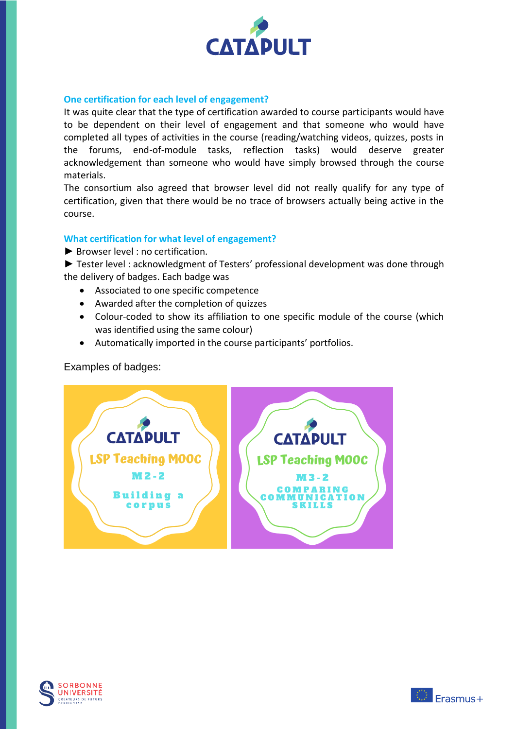

## **One certification for each level of engagement?**

It was quite clear that the type of certification awarded to course participants would have to be dependent on their level of engagement and that someone who would have completed all types of activities in the course (reading/watching videos, quizzes, posts in the forums, end-of-module tasks, reflection tasks) would deserve greater acknowledgement than someone who would have simply browsed through the course materials.

The consortium also agreed that browser level did not really qualify for any type of certification, given that there would be no trace of browsers actually being active in the course.

## **What certification for what level of engagement?**

► Browser level : no certification.

► Tester level : acknowledgment of Testers' professional development was done through the delivery of badges. Each badge was

- Associated to one specific competence
- Awarded after the completion of quizzes
- Colour-coded to show its affiliation to one specific module of the course (which was identified using the same colour)
- Automatically imported in the course participants' portfolios.

Examples of badges:





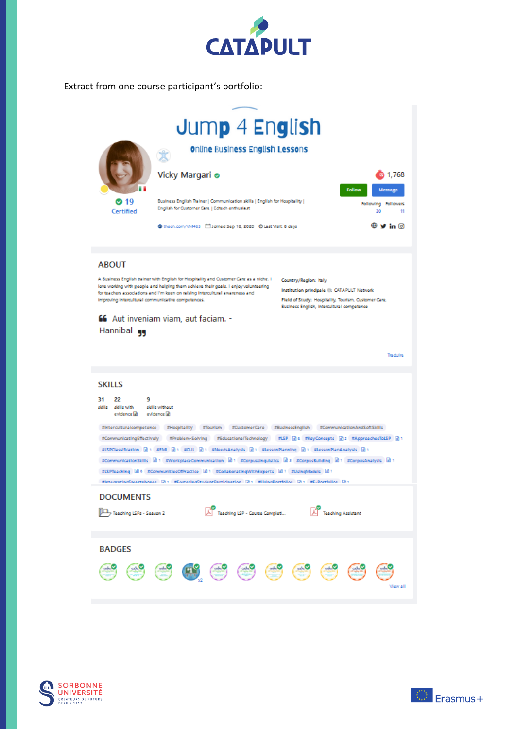

Extract from one course participant's portfolio:





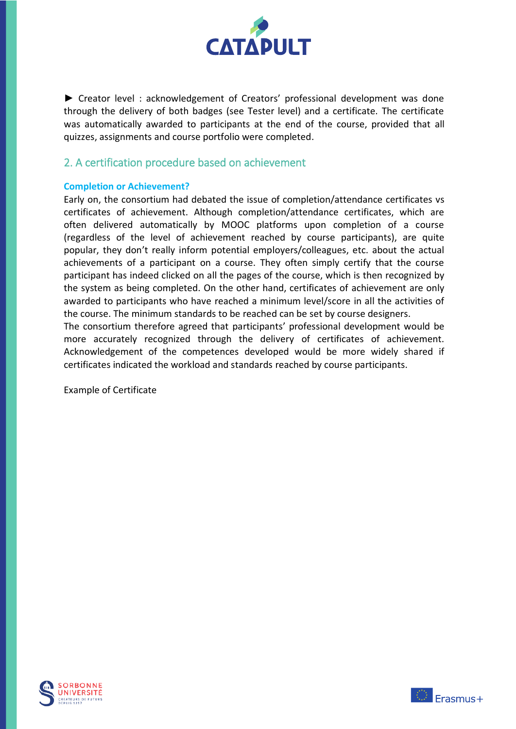

► Creator level : acknowledgement of Creators' professional development was done through the delivery of both badges (see Tester level) and a certificate. The certificate was automatically awarded to participants at the end of the course, provided that all quizzes, assignments and course portfolio were completed.

## 2. A certification procedure based on achievement

## **Completion or Achievement?**

Early on, the consortium had debated the issue of completion/attendance certificates vs certificates of achievement. Although completion/attendance certificates, which are often delivered automatically by MOOC platforms upon completion of a course (regardless of the level of achievement reached by course participants), are quite popular, they don't really inform potential employers/colleagues, etc. about the actual achievements of a participant on a course. They often simply certify that the course participant has indeed clicked on all the pages of the course, which is then recognized by the system as being completed. On the other hand, certificates of achievement are only awarded to participants who have reached a minimum level/score in all the activities of the course. The minimum standards to be reached can be set by course designers.

The consortium therefore agreed that participants' professional development would be more accurately recognized through the delivery of certificates of achievement. Acknowledgement of the competences developed would be more widely shared if certificates indicated the workload and standards reached by course participants.

Example of Certificate